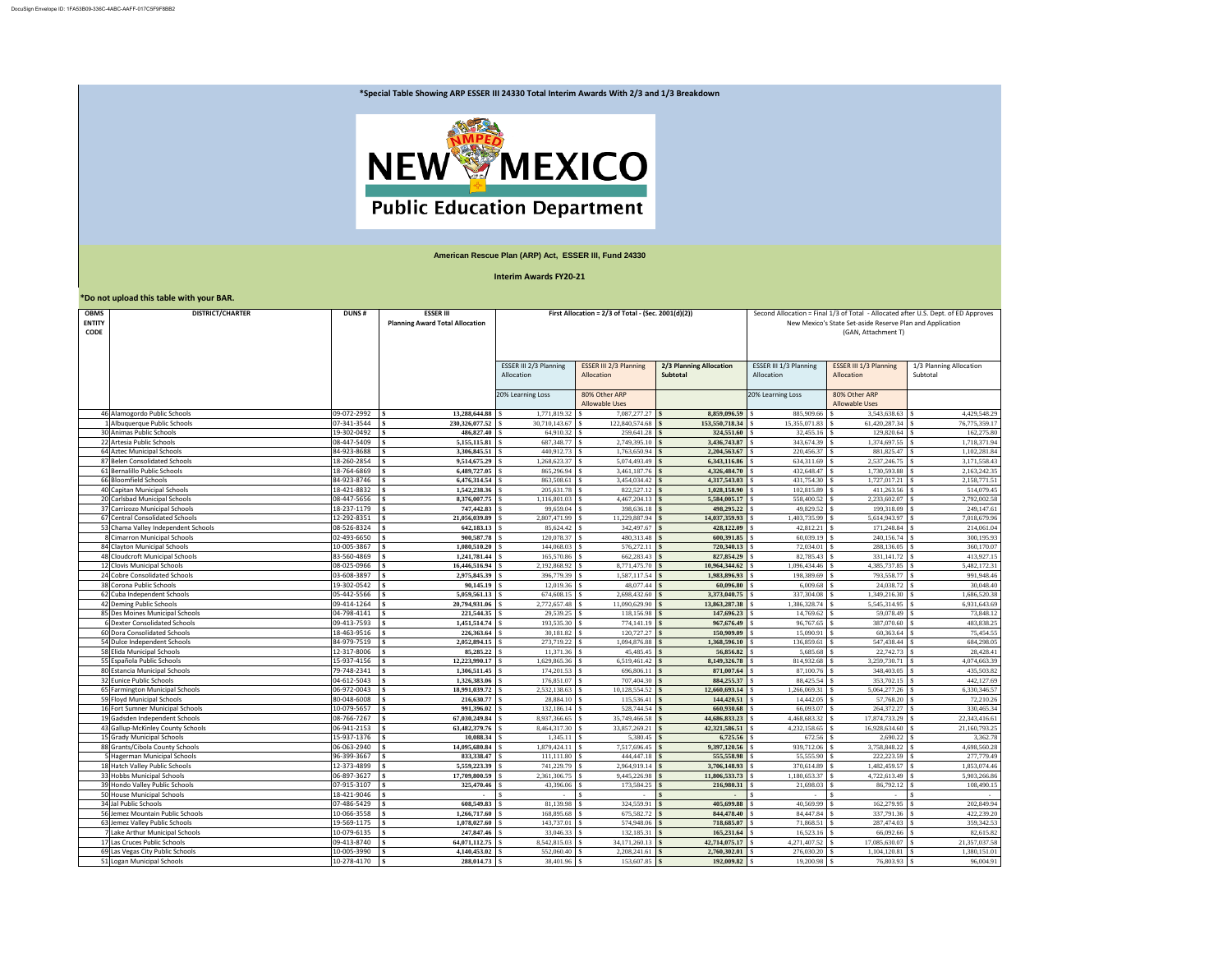| *Do not upload this table with your BAR.    |                                                               |                            |                                                            |                                                       |                                             |                                            |                                                                                                                                                                        |                                             |                                     |
|---------------------------------------------|---------------------------------------------------------------|----------------------------|------------------------------------------------------------|-------------------------------------------------------|---------------------------------------------|--------------------------------------------|------------------------------------------------------------------------------------------------------------------------------------------------------------------------|---------------------------------------------|-------------------------------------|
| <b>OBMS</b><br><b>ENTITY</b><br><b>CODE</b> | <b>DISTRICT/CHARTER</b>                                       | <b>DUNS#</b>               | <b>ESSER III</b><br><b>Planning Award Total Allocation</b> | First Allocation = $2/3$ of Total - (Sec. 2001(d)(2)) |                                             |                                            | Second Allocation = Final 1/3 of Total - Allocated after U.S. Dept. of ED Approves<br>New Mexico's State Set-aside Reserve Plan and Application<br>(GAN, Attachment T) |                                             |                                     |
|                                             |                                                               |                            |                                                            | ESSER III 2/3 Planning<br>Allocation                  | <b>ESSER III 2/3 Planning</b><br>Allocation | <b>2/3 Planning Allocation</b><br>Subtotal | ESSER III 1/3 Planning<br>Allocation                                                                                                                                   | <b>ESSER III 1/3 Planning</b><br>Allocation | 1/3 Planning Allocation<br>Subtotal |
|                                             |                                                               |                            |                                                            | 20% Learning Loss                                     | 80% Other ARP<br><b>Allowable Uses</b>      |                                            | 20% Learning Loss                                                                                                                                                      | 80% Other ARP<br><b>Allowable Uses</b>      |                                     |
|                                             | 46 Alamogordo Public Schools                                  | 09-072-2992                | 13,288,644.88                                              | 1,771,819.32                                          | $7,087,277.27$ \$                           | 8,859,096.59 \$                            | 885,909.66                                                                                                                                                             | 3,543,638.63                                | 4,429,548.29                        |
|                                             | Albuquerque Public Schools                                    | 07-341-3544                | 230,326,077.52                                             | 30,710,143.67                                         | $122,840,574.68$ \$                         | 153,550,718.34 \$                          | 15,355,071.83                                                                                                                                                          | 61,420,287.34                               | 76,775,359.17                       |
|                                             | 30 Animas Public Schools                                      | 19-302-0492                | 486,827.40                                                 | 64,910.32                                             | $259,641.28$ \$                             | $324,551.60$ \\ \\$                        | 32,455.16                                                                                                                                                              | 129,820.64                                  | 162,275.80                          |
|                                             | 22 Artesia Public Schools                                     | 08-447-5409                | 5,155,115.81                                               | 687,348.77                                            | 2,749,395.10                                | 3,436,743.87                               | 343,674.39                                                                                                                                                             | 1,374,697.55                                | 1,718,371.94                        |
|                                             | 64 Aztec Municipal Schools                                    | 84-923-8688                | 3,306,845.51                                               | 440,912.73                                            | $1,763,650.94$ \$                           | 2,204,563.67                               | 220,456.37 \$                                                                                                                                                          | 881,825.47                                  | 1,102,281.84                        |
|                                             | 87 Belen Consolidated Schools                                 | 18-260-2854                | 9,514,675.29                                               | 1,268,623.37                                          | $5,074,493.49$ \$                           | 6,343,116.86 \$                            | 634,311.69                                                                                                                                                             | 2,537,246.75                                | 3,171,558.43                        |
|                                             | 61 Bernalillo Public Schools                                  | 18-764-6869                | 6,489,727.05                                               | 865,296.94                                            | $3,461,187.76$ \$                           | 4,326,484.70 \$                            | 432,648.47 \$                                                                                                                                                          | 1,730,593.88                                | 2,163,242.35                        |
|                                             | 66 Bloomfield Schools<br>40 Capitan Municipal Schools         | 84-923-8746<br>18-421-8832 | 6,476,314.54<br>1,542,238.36                               | 863,508.61<br>205,631.78                              | $3,454,034.42$ \$<br>$822,527.12$ \$        | 4,317,543.03 \$<br>$1,028,158.90$ \$       | 431,754.30<br>102,815.89                                                                                                                                               | 1,727,017.21<br>411,263.56                  | 2,158,771.51<br>514,079.45          |
|                                             | 20 Carlsbad Municipal Schools                                 | 08-447-5656                | 8,376,007.75                                               | 1,116,801.03                                          | $4,467,204.13$ \\$                          | 5,584,005.17                               | 558,400.52                                                                                                                                                             | 2,233,602.07                                | 2,792,002.58                        |
|                                             | 37 Carrizozo Municipal Schools                                | 18-237-1179                | 747,442.83                                                 | 99,659.04                                             | $398,636.18$ \$                             | 498,295.22                                 | 49,829.52                                                                                                                                                              | 199,318.09                                  | 249,147.61                          |
|                                             | 67 Central Consolidated Schools                               | 12-292-8351                | 21,056,039.89                                              | 2,807,471.99                                          | $11,229,887.94$ \$                          | 14,037,359.93                              | 1,403,735.99                                                                                                                                                           | 5,614,943.97                                | 7,018,679.96                        |
|                                             | 53 Chama Valley Independent Schools                           | 08-526-8324                | 642,183.13                                                 | 85,624.42                                             |                                             | $428,122.09$ \\                            | 42,812.21                                                                                                                                                              | 171,248.84                                  | 214,061.04                          |
|                                             | 8 Cimarron Municipal Schools                                  | 02-493-6650                | 900,587.78                                                 | 120,078.37                                            | $480,313.48$ \$                             | $600,391.85$ \$                            | 60,039.19                                                                                                                                                              | 240,156.74                                  | 300,195.93                          |
|                                             | 84 Clayton Municipal Schools                                  | 10-005-3867                | 1,080,510.20                                               | 144,068.03                                            | $576,272.11$ \\                             | 720,340.13                                 | 72,034.01                                                                                                                                                              | 288,136.05                                  | 360,170.07                          |
|                                             | 48 Cloudcroft Municipal Schools                               | 83-560-4869                | 1,241,781.44                                               | 165,570.86                                            | $662,283.43$ \$                             | 827,854.29 \$                              | 82,785.43                                                                                                                                                              | 331,141.72                                  | 413,927.15                          |
|                                             | 12 Clovis Municipal Schools                                   | 08-025-0966                | 16,446,516.94                                              | 2,192,868.92                                          | 8,771,475.70                                | 10,964,344.62                              | 1,096,434.46                                                                                                                                                           | 4,385,737.85                                | 5,482,172.31                        |
|                                             | 24 Cobre Consolidated Schools                                 | 03-608-3897                | 2,975,845.39                                               | 396,779.39                                            | $1,587,117.54$ \$                           | 1,983,896.93                               | 198,389.69                                                                                                                                                             | 793,558.77                                  | 991,948.46                          |
|                                             | 38 Corona Public Schools                                      | 19-302-0542                | 90,145.19                                                  | $12,019.36$ \\$                                       |                                             |                                            |                                                                                                                                                                        | 24,038.72                                   | 30,048.40                           |
|                                             | 62 Cuba Independent Schools                                   | 05-442-5566                | $5,059,561.13$ \\$                                         | 674,608.15                                            | $2,698,432.60$ \$                           | $3,373,040.75$ \\$                         |                                                                                                                                                                        | 1,349,216.30                                | 1,686,520.38                        |
|                                             | 42 Deming Public Schools                                      | 09-414-1264                | 20,794,931.06                                              | 2,772,657.48                                          | $11,090,629.90$ \$                          | 13,863,287.38 \$                           | 1,386,328.74 \$                                                                                                                                                        | 5,545,314.95                                | 6,931,643.69                        |
|                                             | 85 Des Moines Municipal Schools                               | 04-798-4141                | 221,544.35                                                 | 29,539.25                                             | $118,156.98$ \$                             | 147,696.23                                 | 14,769.62                                                                                                                                                              | 59,078.49                                   | 73,848.12                           |
|                                             | 6 Dexter Consolidated Schools<br>60 Dora Consolidated Schools | 09-413-7593<br>18-463-9516 | 1,451,514.74<br>226,363.64                                 | 193,535.30<br>30,181.82                               | $774,141.19$ \$<br>$120,727.27$ \$          | $967,676.49$ \$<br>$150,909.09$ \$         | 96,767.65<br>15,090.91                                                                                                                                                 | 387,070.60<br>60,363.64                     | 483,838.25<br>75,454.55             |
|                                             | 54 Dulce Independent Schools                                  | 84-979-7519                | 2,052,894.15                                               | 273,719.22                                            | $1,094,876.88$ \$                           | 1,368,596.10                               | 136,859.61                                                                                                                                                             | 547,438.44                                  | 684,298.05                          |
|                                             | 58 Elida Municipal Schools                                    | 12-317-8006                | 85,285.22                                                  | 11,371.36                                             | $45,485.45$ \$                              | 56,856.82 \$                               | 5,685.68                                                                                                                                                               | 22,742.73                                   | 28,428.41                           |
|                                             | 55 Española Public Schools                                    | 15-937-4156                | 12,223,990.17                                              | 1,629,865.36                                          | 6,519,461.42   \$                           | 8,149,326.78 \$                            | 814,932.68                                                                                                                                                             | 3,259,730.71                                | 4,074,663.39                        |
|                                             | 80 Estancia Municipal Schools                                 | 79-748-2341                | 1,306,511.45                                               | 174,201.53                                            | $696,806.11$ \$                             |                                            |                                                                                                                                                                        | 348,403.05                                  | 435,503.82                          |
|                                             | 32 Eunice Public Schools                                      | 04-612-5043                | 1,326,383.06                                               | 176,851.07                                            | 707,404.30 \$                               |                                            | 88,425.54                                                                                                                                                              | 353,702.15                                  | 442,127.69                          |
|                                             | 65 Farmington Municipal Schools                               | 06-972-0043                | 18,991,039.72                                              | 2,532,138.63                                          | 10,128,554.52                               | $12,660,693.14$ \\$                        | 1,266,069.31                                                                                                                                                           | 5,064,277.26                                | 6,330,346.57                        |
|                                             | 59 Floyd Municipal Schools                                    | 80-048-6008                | 216,630.77                                                 | 28,884.10                                             | $115,536.41$ \$                             | 144,420.51                                 | 14,442.05                                                                                                                                                              | 57,768.20                                   | 72,210.26                           |
|                                             | 16 Fort Sumner Municipal Schools                              | 10-079-5657                | 991,396.02                                                 | 132,186.14                                            | $528,744.54$ \$                             | 660,930.68                                 | 66,093.07                                                                                                                                                              | 264,372.27                                  | 330,465.34                          |
|                                             | 19 Gadsden Independent Schools                                | 08-766-7267                | 67,030,249.84                                              | 8,937,366.65                                          | $35,749,466.58$ \$                          | $44,686,833.23$ \\$                        | $4,468,683.32$ \\$                                                                                                                                                     | 17,874,733.29                               | 22,343,416.61                       |
|                                             | 43 Gallup-McKinley County Schools                             | 06-941-2153                | 63,482,379.76                                              | 8,464,317.30                                          | $33,857,269.21$ \$                          | 42,321,586.51                              | 4,232,158.65                                                                                                                                                           | 16,928,634.60                               | 21,160,793.25                       |
|                                             | 15 Grady Municipal Schools                                    | 15-937-1376                | 10,088.34                                                  | 1,345.11                                              | $5,380.45$ \$                               | 6,725.56 \$                                | 672.56 \$                                                                                                                                                              | 2,690.22                                    | 3,362.78                            |
|                                             | 88 Grants/Cibola County Schools                               | 06-063-2940                | 14,095,680.84                                              | 1,879,424.11                                          | $7,517,696.45$ \$                           | 9,397,120.56                               | 939,712.06                                                                                                                                                             | 3,758,848.22                                | 4,698,560.28                        |
|                                             | Hagerman Municipal Schools                                    | 96-399-3667                | 833,338.47                                                 | 111,111.80                                            | 444,447.18                                  | 555,558.98                                 | 55,555.90                                                                                                                                                              | 222,223.59                                  | 277,779.49                          |
|                                             | 18 Hatch Valley Public Schools                                | 12-373-4899                | 5,559,223.39                                               | 741,229.79                                            | $2,964,919.14$ \$                           | 3,706,148.93                               | 370,614.89                                                                                                                                                             | 1,482,459.57                                | 1,853,074.46                        |
|                                             | 33 Hobbs Municipal Schools                                    | 06-897-3627                | 17,709,800.59                                              | 2,361,306.75                                          | 9,445,226.98                                | 11,806,533.73                              | 1,180,653.37                                                                                                                                                           | 4,722,613.49                                | 5,903,266.86                        |
|                                             | 39 Hondo Valley Public Schools<br>50 House Municipal Schools  | 07-915-3107<br>18-421-9046 | 325,470.46                                                 | 43,396.06                                             | $173,584.25$ \$                             | 216,980.31                                 | 21,698.03                                                                                                                                                              | 86,792.12                                   | 108,490.15                          |
|                                             | 34 Jal Public Schools                                         | 07-486-5429                | 608,549.83                                                 | 81,139.98                                             |                                             | 405,699.88 \$                              | 40,569.99                                                                                                                                                              | 162,279.95                                  | 202,849.94                          |
|                                             | 56 Jemez Mountain Public Schools                              | 10-066-3558                | 1,266,717.60                                               | 168,895.68                                            | $675,582.72$ \$                             | 844,478.40 \$                              | 84,447.84                                                                                                                                                              | 337,791.36                                  | 422,239.20                          |
|                                             | 63 Jemez Valley Public Schools                                | 19-569-1175                | 1,078,027.60                                               | 143,737.01                                            | 574,948.06                                  | 718,685.07                                 | 71,868.51                                                                                                                                                              | 287,474.03                                  | 359,342.53                          |
|                                             | Lake Arthur Municipal Schools                                 | 10-079-6135                | 247,847.46                                                 | 33,046.33                                             | $132, 185.31$ \$                            | 165,231.64                                 | 16,523.16                                                                                                                                                              | 66,092.66                                   | 82,615.82                           |
|                                             | 17 Las Cruces Public Schools                                  | 09-413-8740                | 64,071,112.75                                              | 8,542,815.03                                          | $34,171,260.13$ \$                          | 42,714,075.17                              | 4,271,407.52                                                                                                                                                           | 17,085,630.07                               | 21,357,037.58                       |
|                                             | 69 Las Vegas City Public Schools                              | 10-005-3990                | 4,140,453.02                                               | 552,060.40                                            | $2,208,241.61$ \$                           | 2,760,302.01                               |                                                                                                                                                                        | 1,104,120.81                                | 1,380,151.01                        |
|                                             | 51 Logan Municipal Schools                                    | 10-278-4170                | 288,014.73                                                 | 38,401.96 \$                                          | $153,607.85$ \$                             | $192,009.82$ \$                            | 19,200.98 \$                                                                                                                                                           | 76,803.93                                   | 96,004.91                           |

|  |  | vards With 2/3 and 1/3 Breakdown |
|--|--|----------------------------------|
|--|--|----------------------------------|



## **American Rescue Plan (ARP) Act, ESSER III, Fund 24330**

## **Interim Awards FY20-21**

**\*Special Table Showing ARP ESSER III 24330 Total Interim Aw** 

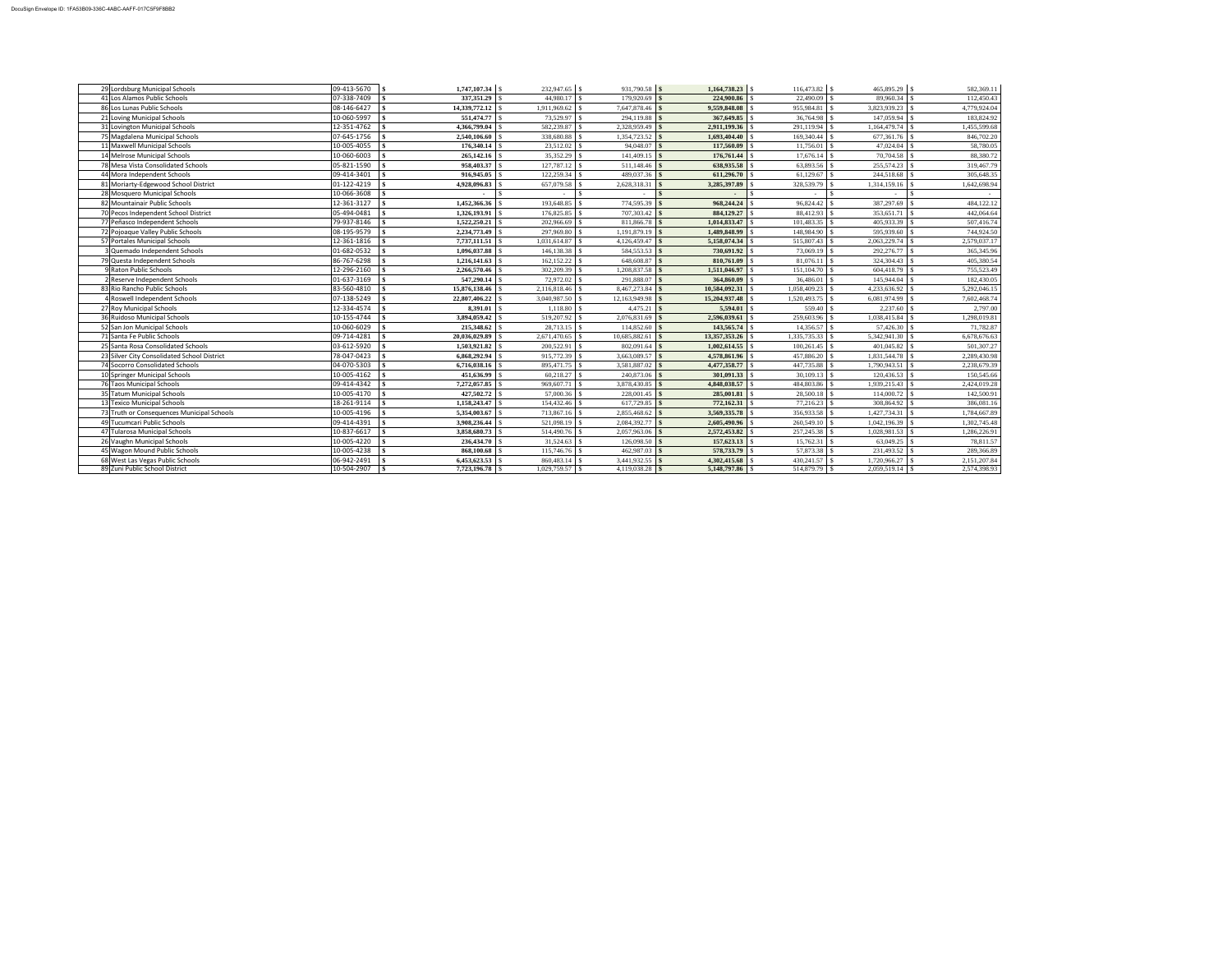| 29 Lordsburg Municipal Schools              | $09-413-5670$ $\frac{1}{3}$   | $1,747,107.34$ \\$        |                    | $931,790.58$ \$        |                    |                  |                    | 582,369.11   |
|---------------------------------------------|-------------------------------|---------------------------|--------------------|------------------------|--------------------|------------------|--------------------|--------------|
| 41 Los Alamos Public Schools                | 07-338-7409                   | $337,351.29$ \ \\$        | 44,980.17 \\$      | $179,920.69$ \$        | 224,900.86         | 22,490.09        | 89,960.34          | 112,450.43   |
| 86 Los Lunas Public Schools                 | 08-146-6427                   | 14,339,772.12   \$        | 1,911,969.62   \$  | 7,647,878.46 \$        | 9,559,848.08       | 955,984.81       | 3,823,939.23       | 4,779,924.04 |
| 21 Loving Municipal Schools                 | 10-060-5997                   | $551,474.77$ \ \\$        | 73,529.97 \\$      | 294,119.88             | 367,649.85         | 36,764.98        | 147,059.94         | 183,824.92   |
| 31 Lovington Municipal Schools              | 12-351-4762                   | $4,366,799.04$ \ \\$      | 582,239.87         | $2,328,959.49$ \$      | 2,911,199.36       | 291,119.94       | 1,164,479.74       | 1,455,599.68 |
| 75 Magdalena Municipal Schools              | $07-645-1756$ \\$             |                           | 338,680.88 \$      | $1,354,723.52$ \$      | 1,693,404.40       | 169,340.44       | 677,361.76         | 846,702.20   |
| 11 Maxwell Municipal Schools                | 10-005-4055                   |                           | $23,512.02$ \$     | $94,048.07$ \$         | 117,560.09         | $11,756.01$ \$   | 47,024.04          | 58,780.05    |
| 14 Melrose Municipal Schools                | 10-060-6003                   |                           | $35,352.29$ \\$    | $141,409.15$ \$        | 176,761.44         | $17,676.14$ \\$  | 70,704.58          | 88,380.72    |
| 78 Mesa Vista Consolidated Schools          | 05-821-1590                   | 958,403.37                | $127,787.12$ \\$   | $511,148.46$ \$        | 638,935.58         | 63,893.56        | 255,574.23         | 319,467.79   |
| 44 Mora Independent Schools                 | 09-414-3401                   | 916,945.05                |                    | 489,037.36 \$          | 611,296.70         | 61,129.67        | 244,518.68         | 305,648.35   |
| 81 Moriarty-Edgewood School District        | 01-122-4219                   | 4,928,096.83              | 657,079.58         | 2,628,318.31           | 3,285,397.89       | 328,539.79       | 1,314,159.16       | 1,642,698.94 |
| 28 Mosquero Municipal Schools               | 10-066-3608                   |                           |                    |                        |                    |                  |                    |              |
| 82 Mountainair Public Schools               | 12-361-3127                   |                           | 193,648.85         | 774,595.39 \$          | 968,244.24         | 96,824.42        | 387,297.69         | 484,122.12   |
| 70 Pecos Independent School District        | 05-494-0481                   |                           | $176,825.85$ \\$   | $707,303.42$ \$        | 884,129.27 \$      | 88,412.93 \$     | 353,651.71 \$      | 442,064.64   |
| 77 Peñasco Independent Schools              | 79-937-8146                   | $1,522,250.21$ \ \\$      | $202,966.69$ \\$   | $811,866.78$ \$        | 1,014,833.47       | 101,483.35       | 405,933.39         | 507,416.74   |
| 72 Pojoaque Valley Public Schools           | 08-195-9579                   | $2,234,773.49$ \ \\$      | 297,969.80 \\$     | $1,191,879.19$ \$      | 1,489,848.99       | 148,984.90       | 595,939.60         | 744,924.50   |
| 57 Portales Municipal Schools               | 12-361-1816                   |                           | 1,031,614.87       | $4,126,459.47$ \\$     | 5,158,074.34       | 515,807.43       | 2,063,229.74       | 2,579,037.17 |
| 3 Quemado Independent Schools               | 01-682-0532                   | 1,096,037.88              |                    | 584,553.53 \$          | 730,691.92         | 73,069.19        | 292,276.77         | 365,345.96   |
| 79 Questa Independent Schools               | 86-767-6298                   |                           |                    | $648,608.87$ \$        | 810,761.09         | 81,076.11        | 324,304.43         | 405,380.54   |
| 9 Raton Public Schools                      | 12-296-2160                   |                           | $302,209.39$ \\$   | $1,208,837.58$ \$      | 1,511,046.97       | $151,104.70$ \\$ | 604,418.79         | 755,523.49   |
| 2 Reserve Independent Schools               | 01-637-3169                   |                           | 72,972.02 \$       | $291,888.07$ \$        | 364,860.09         | $36,486.01$ \$   | 145,944.04         | 182,430.05   |
| 83 Rio Rancho Public Schools                | 83-560-4810                   | $15,876,138.46$ \\$       | $2,116,818.46$ \\$ |                        | 10,584,092.31      |                  | 4,233,636.92       | 5,292,046.15 |
| Roswell Independent Schools                 | 07-138-5249                   |                           | $3,040,987.50$ \\$ | $12,163,949.98$ \$     | 15,204,937.48      | 1,520,493.75     | 6,081,974.99       | 7,602,468.74 |
| 27 Roy Municipal Schools                    | 12-334-4574                   | 8,391.01                  | $1,118.80$ \$      | 4,475.21   \$          | 5,594.01           | 559.40           | 2,237.60           | 2,797.00     |
| 36 Ruidoso Municipal Schools                | 10-155-4744                   | 3,894,059.42              |                    | $2,076,831.69$ \$      | 2,596,039.61       | 259,603.96       | 1,038,415.84       | 1,298,019.81 |
| 52 San Jon Municipal Schools                | 10-060-6029                   |                           | $28,713.15$ \\$    | $114,852.60$ \$        | 143,565.74 \\$     | 14,356.57        | 57,426.30          | 71,782.87    |
| 71 Santa Fe Public Schools                  | 09-714-4281                   | $20,036,029.89$ \\$       | $2,671,470.65$ \\$ | 10,685,882.61          | 13,357,353.26      | 1,335,735.33     | 5,342,941.30       | 6,678,676.63 |
| 25 Santa Rosa Consolidated Schools          | 03-612-5920                   | $1,503,921.82$ \\$        | $200,522.91$ \\$   | $802,091.64$ \$        |                    | $100,261.45$ \$  |                    | 501,307.27   |
| 23 Silver City Consolidated School District | 78-047-0423                   |                           |                    | 3,663,089.57 \\ \\ \\$ | 4,578,861.96       | 457,886.20       | 1,831,544.78       | 2,289,430.98 |
| 74 Socorro Consolidated Schools             | 04-070-5303                   | 6,716,038.16 \\ \ \ \ \ \ | 895,471.75   \$    | 3,581,887.02 \\        | 4,477,358.77       | 447,735.88       | 1,790,943.51       | 2,238,679.39 |
| 10 Springer Municipal Schools               | 10-005-4162                   | $451,636.99$ \ \\$        |                    | $240,873.06$ \$        | $301,091.33$ \$    | $30,109.13$ \$   |                    | 150,545.66   |
| 76 Taos Municipal Schools                   | $09-414-4342$ \\$             | $7,272,057.85$ \\$        | 969,607.71         | 3,878,430.85 \$        | 4,848,038.57 \\$   | 484,803.86       | 1,939,215.43       | 2,424,019.28 |
| 35 Tatum Municipal Schools                  | $10-005-4170$   \$            | $427,502.72$ \\$          | 57,000.36 \$       | $228,001.45$ \$        | $285,001.81$ \$    | 28,500.18        |                    | 142,500.91   |
| 13 Texico Municipal Schools                 | 18-261-9114   \$              | $1,158,243.47$ \\$        |                    | 617,729.85 \$          |                    | 77,216.23        | 308,864.92         | 386,081.16   |
| 73 Truth or Consequences Municipal Schools  | 10-005-4196   \$              |                           | 713,867.16 \$      | $2,855,468.62$ \$      | $3,569,335.78$ \\$ | 356,933.58 \$    |                    | 1,784,667.89 |
| 49 Tucumcari Public Schools                 | $09-414-4391$ \\$             |                           | $521,098.19$ \\$   | $2,084,392.77$ \$      | $2,605,490.96$ \$  | 260,549.10 \$    | 1,042,196.39       | 1,302,745.48 |
| 47 Tularosa Municipal Schools               | 10-837-6617<br>$\blacksquare$ | $3,858,680.73$ \\$        | 514,490.76 \$      | $2,057,963.06$ \$      | 2,572,453.82 \$    |                  | 1,028,981.53       | 1,286,226.91 |
| 26 Vaughn Municipal Schools                 | 10-005-4220                   |                           | $31,524.63$ \$     | $126,098.50$ \$        | 157,623.13         | $15,762.31$ \\$  |                    | 78,811.57    |
| 45 Wagon Mound Public Schools               | $10-005-4238$ \\$             |                           | $115,746.76$ \\$   | $462,987.03$ \$        | $578,733.79$ \ \\$ | 57,873.38 \$     | 231,493.52 \$      | 289,366.89   |
| 68 West Las Vegas Public Schools            | $06-942-2491$ \\$             |                           |                    | $3,441,932.55$ \$      | 4,302,415.68 \$    |                  |                    | 2,151,207.84 |
| 89 Zuni Public School District              | $10-504-2907$ \\$             | 7,723,196.78 \$           |                    | $4,119,038.28$ \$      | 5,148,797.86 \$    | 514,879.79 \$    | $2,059,519.14$ \\$ | 2,574,398.93 |